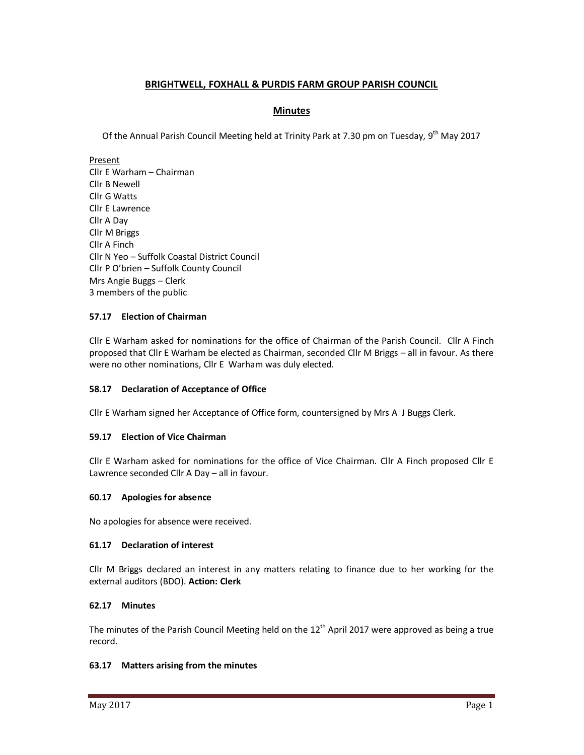# **BRIGHTWELL, FOXHALL & PURDIS FARM GROUP PARISH COUNCIL**

# **Minutes**

Of the Annual Parish Council Meeting held at Trinity Park at 7.30 pm on Tuesday, 9<sup>th</sup> May 2017

Present

Cllr E Warham – Chairman Cllr B Newell Cllr G Watts Cllr E Lawrence Cllr A Day Cllr M Briggs Cllr A Finch Cllr N Yeo – Suffolk Coastal District Council Cllr P O'brien – Suffolk County Council Mrs Angie Buggs – Clerk 3 members of the public

## **57.17 Election of Chairman**

Cllr E Warham asked for nominations for the office of Chairman of the Parish Council. Cllr A Finch proposed that Cllr E Warham be elected as Chairman, seconded Cllr M Briggs – all in favour. As there were no other nominations, Cllr E Warham was duly elected.

## **58.17 Declaration of Acceptance of Office**

Cllr E Warham signed her Acceptance of Office form, countersigned by Mrs A J Buggs Clerk.

## **59.17 Election of Vice Chairman**

Cllr E Warham asked for nominations for the office of Vice Chairman. Cllr A Finch proposed Cllr E Lawrence seconded Cllr A Day – all in favour.

## **60.17 Apologies for absence**

No apologies for absence were received.

# **61.17 Declaration of interest**

Cllr M Briggs declared an interest in any matters relating to finance due to her working for the external auditors (BDO). **Action: Clerk** 

## **62.17 Minutes**

The minutes of the Parish Council Meeting held on the  $12<sup>th</sup>$  April 2017 were approved as being a true record.

## **63.17 Matters arising from the minutes**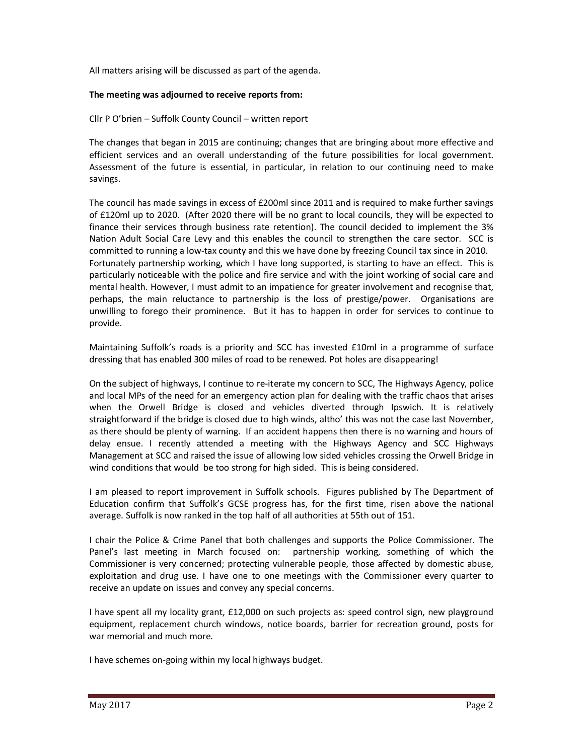All matters arising will be discussed as part of the agenda.

#### **The meeting was adjourned to receive reports from:**

Cllr P O'brien – Suffolk County Council – written report

The changes that began in 2015 are continuing; changes that are bringing about more effective and efficient services and an overall understanding of the future possibilities for local government. Assessment of the future is essential, in particular, in relation to our continuing need to make savings.

The council has made savings in excess of £200ml since 2011 and is required to make further savings of £120ml up to 2020. (After 2020 there will be no grant to local councils, they will be expected to finance their services through business rate retention). The council decided to implement the 3% Nation Adult Social Care Levy and this enables the council to strengthen the care sector. SCC is committed to running a low-tax county and this we have done by freezing Council tax since in 2010. Fortunately partnership working, which I have long supported, is starting to have an effect. This is particularly noticeable with the police and fire service and with the joint working of social care and mental health. However, I must admit to an impatience for greater involvement and recognise that, perhaps, the main reluctance to partnership is the loss of prestige/power. Organisations are unwilling to forego their prominence. But it has to happen in order for services to continue to provide.

Maintaining Suffolk's roads is a priority and SCC has invested £10ml in a programme of surface dressing that has enabled 300 miles of road to be renewed. Pot holes are disappearing!

On the subject of highways, I continue to re-iterate my concern to SCC, The Highways Agency, police and local MPs of the need for an emergency action plan for dealing with the traffic chaos that arises when the Orwell Bridge is closed and vehicles diverted through Ipswich. It is relatively straightforward if the bridge is closed due to high winds, altho' this was not the case last November, as there should be plenty of warning. If an accident happens then there is no warning and hours of delay ensue. I recently attended a meeting with the Highways Agency and SCC Highways Management at SCC and raised the issue of allowing low sided vehicles crossing the Orwell Bridge in wind conditions that would be too strong for high sided. This is being considered.

I am pleased to report improvement in Suffolk schools. Figures published by The Department of Education confirm that Suffolk's GCSE progress has, for the first time, risen above the national average. Suffolk is now ranked in the top half of all authorities at 55th out of 151.

I chair the Police & Crime Panel that both challenges and supports the Police Commissioner. The Panel's last meeting in March focused on: partnership working, something of which the Commissioner is very concerned; protecting vulnerable people, those affected by domestic abuse, exploitation and drug use. I have one to one meetings with the Commissioner every quarter to receive an update on issues and convey any special concerns.

I have spent all my locality grant, £12,000 on such projects as: speed control sign, new playground equipment, replacement church windows, notice boards, barrier for recreation ground, posts for war memorial and much more.

I have schemes on-going within my local highways budget.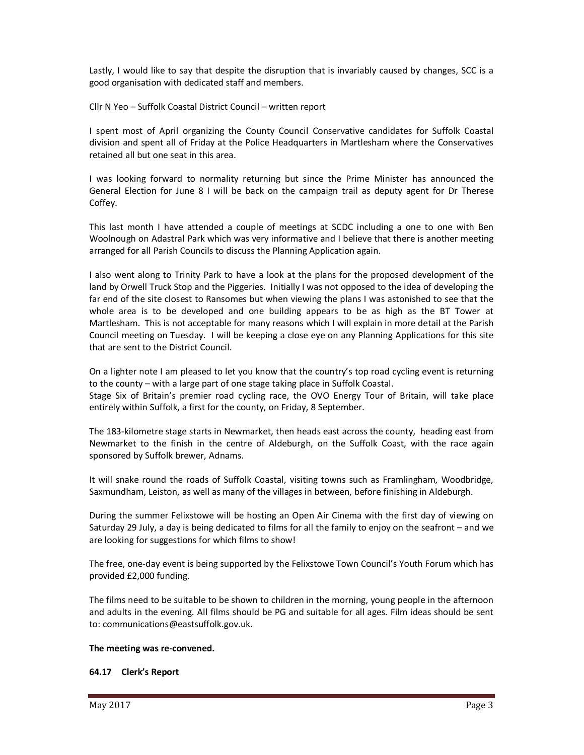Lastly, I would like to say that despite the disruption that is invariably caused by changes, SCC is a good organisation with dedicated staff and members.

Cllr N Yeo – Suffolk Coastal District Council – written report

I spent most of April organizing the County Council Conservative candidates for Suffolk Coastal division and spent all of Friday at the Police Headquarters in Martlesham where the Conservatives retained all but one seat in this area.

I was looking forward to normality returning but since the Prime Minister has announced the General Election for June 8 I will be back on the campaign trail as deputy agent for Dr Therese Coffey.

This last month I have attended a couple of meetings at SCDC including a one to one with Ben Woolnough on Adastral Park which was very informative and I believe that there is another meeting arranged for all Parish Councils to discuss the Planning Application again.

I also went along to Trinity Park to have a look at the plans for the proposed development of the land by Orwell Truck Stop and the Piggeries. Initially I was not opposed to the idea of developing the far end of the site closest to Ransomes but when viewing the plans I was astonished to see that the whole area is to be developed and one building appears to be as high as the BT Tower at Martlesham. This is not acceptable for many reasons which I will explain in more detail at the Parish Council meeting on Tuesday. I will be keeping a close eye on any Planning Applications for this site that are sent to the District Council.

On a lighter note I am pleased to let you know that the country's top road cycling event is returning to the county – with a large part of one stage taking place in Suffolk Coastal.

Stage Six of Britain's premier road cycling race, the OVO Energy Tour of Britain, will take place entirely within Suffolk, a first for the county, on Friday, 8 September.

The 183-kilometre stage starts in Newmarket, then heads east across the county, heading east from Newmarket to the finish in the centre of Aldeburgh, on the Suffolk Coast, with the race again sponsored by Suffolk brewer, Adnams.

It will snake round the roads of Suffolk Coastal, visiting towns such as Framlingham, Woodbridge, Saxmundham, Leiston, as well as many of the villages in between, before finishing in Aldeburgh.

During the summer Felixstowe will be hosting an Open Air Cinema with the first day of viewing on Saturday 29 July, a day is being dedicated to films for all the family to enjoy on the seafront – and we are looking for suggestions for which films to show!

The free, one-day event is being supported by the Felixstowe Town Council's Youth Forum which has provided £2,000 funding.

The films need to be suitable to be shown to children in the morning, young people in the afternoon and adults in the evening. All films should be PG and suitable for all ages. Film ideas should be sent to: communications@eastsuffolk.gov.uk.

#### **The meeting was re-convened.**

#### **64.17 Clerk's Report**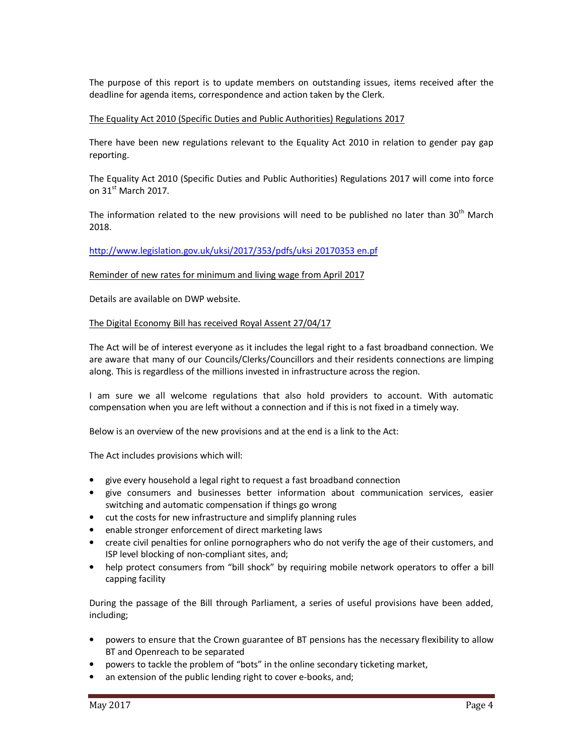The purpose of this report is to update members on outstanding issues, items received after the deadline for agenda items, correspondence and action taken by the Clerk.

#### The Equality Act 2010 (Specific Duties and Public Authorities) Regulations 2017

There have been new regulations relevant to the Equality Act 2010 in relation to gender pay gap reporting.

The Equality Act 2010 (Specific Duties and Public Authorities) Regulations 2017 will come into force on  $31<sup>st</sup>$  March 2017.

The information related to the new provisions will need to be published no later than 30<sup>th</sup> March 2018.

http://www.legislation.gov.uk/uksi/2017/353/pdfs/uksi 20170353 en.pf

Reminder of new rates for minimum and living wage from April 2017

Details are available on DWP website.

#### The Digital Economy Bill has received Royal Assent 27/04/17

The Act will be of interest everyone as it includes the legal right to a fast broadband connection. We are aware that many of our Councils/Clerks/Councillors and their residents connections are limping along. This is regardless of the millions invested in infrastructure across the region.

I am sure we all welcome regulations that also hold providers to account. With automatic compensation when you are left without a connection and if this is not fixed in a timely way.

Below is an overview of the new provisions and at the end is a link to the Act:

The Act includes provisions which will:

- give every household a legal right to request a fast broadband connection
- give consumers and businesses better information about communication services, easier switching and automatic compensation if things go wrong
- cut the costs for new infrastructure and simplify planning rules
- enable stronger enforcement of direct marketing laws
- create civil penalties for online pornographers who do not verify the age of their customers, and ISP level blocking of non-compliant sites, and;
- help protect consumers from "bill shock" by requiring mobile network operators to offer a bill capping facility

During the passage of the Bill through Parliament, a series of useful provisions have been added, including;

- powers to ensure that the Crown guarantee of BT pensions has the necessary flexibility to allow BT and Openreach to be separated
- powers to tackle the problem of "bots" in the online secondary ticketing market,
- an extension of the public lending right to cover e-books, and;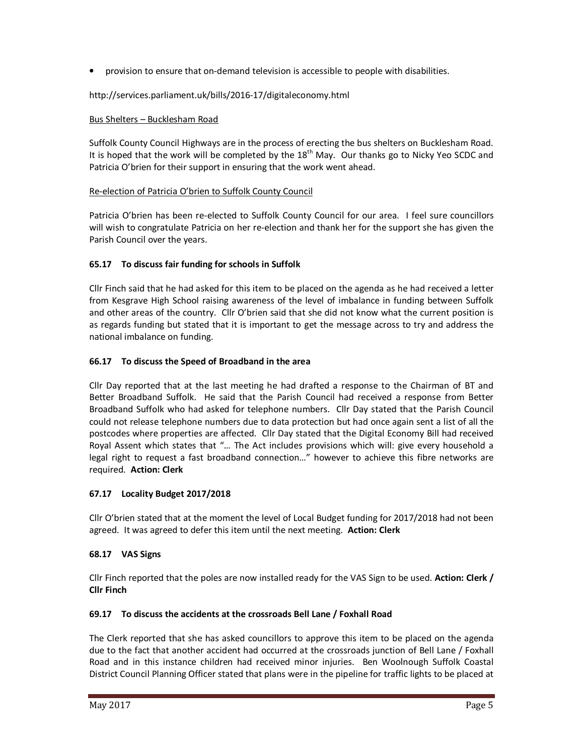• provision to ensure that on-demand television is accessible to people with disabilities.

http://services.parliament.uk/bills/2016-17/digitaleconomy.html

## Bus Shelters – Bucklesham Road

Suffolk County Council Highways are in the process of erecting the bus shelters on Bucklesham Road. It is hoped that the work will be completed by the  $18<sup>th</sup>$  May. Our thanks go to Nicky Yeo SCDC and Patricia O'brien for their support in ensuring that the work went ahead.

## Re-election of Patricia O'brien to Suffolk County Council

Patricia O'brien has been re-elected to Suffolk County Council for our area. I feel sure councillors will wish to congratulate Patricia on her re-election and thank her for the support she has given the Parish Council over the years.

## **65.17 To discuss fair funding for schools in Suffolk**

Cllr Finch said that he had asked for this item to be placed on the agenda as he had received a letter from Kesgrave High School raising awareness of the level of imbalance in funding between Suffolk and other areas of the country. Cllr O'brien said that she did not know what the current position is as regards funding but stated that it is important to get the message across to try and address the national imbalance on funding.

## **66.17 To discuss the Speed of Broadband in the area**

Cllr Day reported that at the last meeting he had drafted a response to the Chairman of BT and Better Broadband Suffolk. He said that the Parish Council had received a response from Better Broadband Suffolk who had asked for telephone numbers. Cllr Day stated that the Parish Council could not release telephone numbers due to data protection but had once again sent a list of all the postcodes where properties are affected. Cllr Day stated that the Digital Economy Bill had received Royal Assent which states that "… The Act includes provisions which will: give every household a legal right to request a fast broadband connection…" however to achieve this fibre networks are required. **Action: Clerk** 

## **67.17 Locality Budget 2017/2018**

Cllr O'brien stated that at the moment the level of Local Budget funding for 2017/2018 had not been agreed. It was agreed to defer this item until the next meeting. **Action: Clerk** 

## **68.17 VAS Signs**

Cllr Finch reported that the poles are now installed ready for the VAS Sign to be used. **Action: Clerk / Cllr Finch** 

## **69.17 To discuss the accidents at the crossroads Bell Lane / Foxhall Road**

The Clerk reported that she has asked councillors to approve this item to be placed on the agenda due to the fact that another accident had occurred at the crossroads junction of Bell Lane / Foxhall Road and in this instance children had received minor injuries. Ben Woolnough Suffolk Coastal District Council Planning Officer stated that plans were in the pipeline for traffic lights to be placed at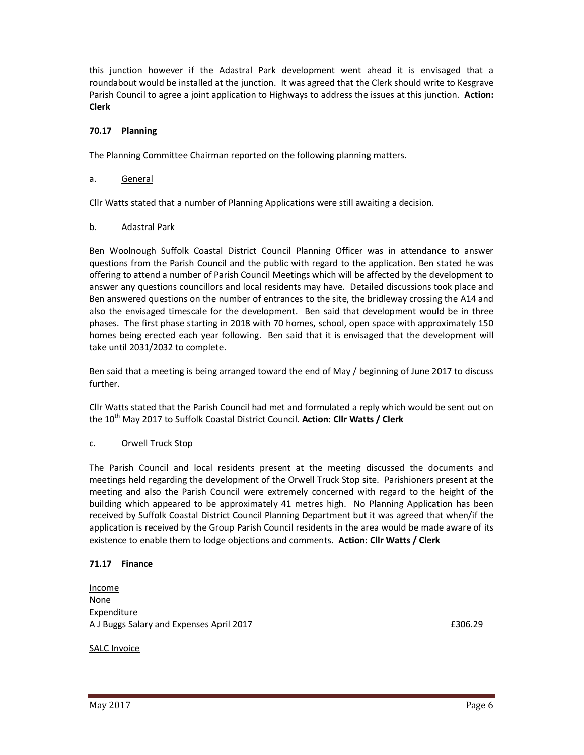this junction however if the Adastral Park development went ahead it is envisaged that a roundabout would be installed at the junction. It was agreed that the Clerk should write to Kesgrave Parish Council to agree a joint application to Highways to address the issues at this junction. **Action: Clerk** 

## **70.17 Planning**

The Planning Committee Chairman reported on the following planning matters.

#### a. General

Cllr Watts stated that a number of Planning Applications were still awaiting a decision.

#### b. Adastral Park

Ben Woolnough Suffolk Coastal District Council Planning Officer was in attendance to answer questions from the Parish Council and the public with regard to the application. Ben stated he was offering to attend a number of Parish Council Meetings which will be affected by the development to answer any questions councillors and local residents may have. Detailed discussions took place and Ben answered questions on the number of entrances to the site, the bridleway crossing the A14 and also the envisaged timescale for the development. Ben said that development would be in three phases. The first phase starting in 2018 with 70 homes, school, open space with approximately 150 homes being erected each year following. Ben said that it is envisaged that the development will take until 2031/2032 to complete.

Ben said that a meeting is being arranged toward the end of May / beginning of June 2017 to discuss further.

Cllr Watts stated that the Parish Council had met and formulated a reply which would be sent out on the 10<sup>th</sup> May 2017 to Suffolk Coastal District Council. Action: Cllr Watts / Clerk

#### c. Orwell Truck Stop

The Parish Council and local residents present at the meeting discussed the documents and meetings held regarding the development of the Orwell Truck Stop site. Parishioners present at the meeting and also the Parish Council were extremely concerned with regard to the height of the building which appeared to be approximately 41 metres high. No Planning Application has been received by Suffolk Coastal District Council Planning Department but it was agreed that when/if the application is received by the Group Parish Council residents in the area would be made aware of its existence to enable them to lodge objections and comments. **Action: Cllr Watts / Clerk** 

#### **71.17 Finance**

Income None Expenditure A J Buggs Salary and Expenses April 2017 **EXPENSION CONSTRUSTED ASSESSED** E306.29

#### SALC Invoice